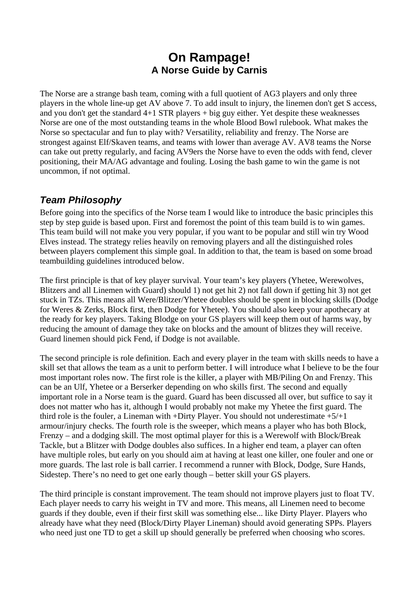# **On Rampage! A Norse Guide by Carnis**

The Norse are a strange bash team, coming with a full quotient of AG3 players and only three players in the whole line-up get AV above 7. To add insult to injury, the linemen don't get S access, and you don't get the standard 4+1 STR players + big guy either. Yet despite these weaknesses Norse are one of the most outstanding teams in the whole Blood Bowl rulebook. What makes the Norse so spectacular and fun to play with? Versatility, reliability and frenzy. The Norse are strongest against Elf/Skaven teams, and teams with lower than average AV. AV8 teams the Norse can take out pretty regularly, and facing AV9ers the Norse have to even the odds with fend, clever positioning, their MA/AG advantage and fouling. Losing the bash game to win the game is not uncommon, if not optimal.

## *Team Philosophy*

Before going into the specifics of the Norse team I would like to introduce the basic principles this step by step guide is based upon. First and foremost the point of this team build is to win games. This team build will not make you very popular, if you want to be popular and still win try Wood Elves instead. The strategy relies heavily on removing players and all the distinguished roles between players complement this simple goal. In addition to that, the team is based on some broad teambuilding guidelines introduced below.

The first principle is that of key player survival. Your team's key players (Yhetee, Werewolves, Blitzers and all Linemen with Guard) should 1) not get hit 2) not fall down if getting hit 3) not get stuck in TZs. This means all Were/Blitzer/Yhetee doubles should be spent in blocking skills (Dodge for Weres & Zerks, Block first, then Dodge for Yhetee). You should also keep your apothecary at the ready for key players. Taking Blodge on your GS players will keep them out of harms way, by reducing the amount of damage they take on blocks and the amount of blitzes they will receive. Guard linemen should pick Fend, if Dodge is not available.

The second principle is role definition. Each and every player in the team with skills needs to have a skill set that allows the team as a unit to perform better. I will introduce what I believe to be the four most important roles now. The first role is the killer, a player with MB/Piling On and Frenzy. This can be an Ulf, Yhetee or a Berserker depending on who skills first. The second and equally important role in a Norse team is the guard. Guard has been discussed all over, but suffice to say it does not matter who has it, although I would probably not make my Yhetee the first guard. The third role is the fouler, a Lineman with +Dirty Player. You should not underestimate  $+5/+1$ armour/injury checks. The fourth role is the sweeper, which means a player who has both Block, Frenzy – and a dodging skill. The most optimal player for this is a Werewolf with Block/Break Tackle, but a Blitzer with Dodge doubles also suffices. In a higher end team, a player can often have multiple roles, but early on you should aim at having at least one killer, one fouler and one or more guards. The last role is ball carrier. I recommend a runner with Block, Dodge, Sure Hands, Sidestep. There's no need to get one early though – better skill your GS players.

The third principle is constant improvement. The team should not improve players just to float TV. Each player needs to carry his weight in TV and more. This means, all Linemen need to become guards if they double, even if their first skill was something else... like Dirty Player. Players who already have what they need (Block/Dirty Player Lineman) should avoid generating SPPs. Players who need just one TD to get a skill up should generally be preferred when choosing who scores.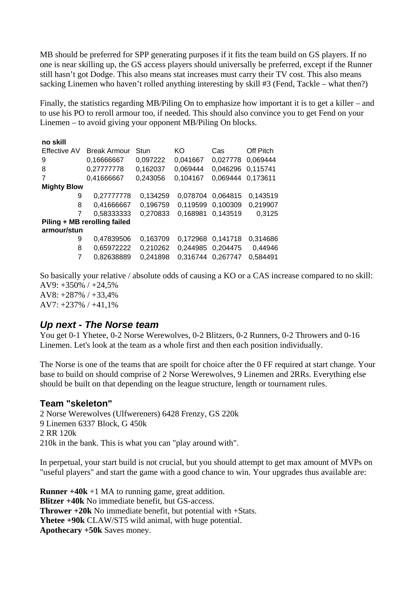MB should be preferred for SPP generating purposes if it fits the team build on GS players. If no one is near skilling up, the GS access players should universally be preferred, except if the Runner still hasn't got Dodge. This also means stat increases must carry their TV cost. This also means sacking Linemen who haven't rolled anything interesting by skill #3 (Fend, Tackle – what then?)

Finally, the statistics regarding MB/Piling On to emphasize how important it is to get a killer – and to use his PO to reroll armour too, if needed. This should also convince you to get Fend on your Linemen – to avoid giving your opponent MB/Piling On blocks.

| no skill                     |                     |          |                   |          |           |
|------------------------------|---------------------|----------|-------------------|----------|-----------|
| <b>Effective AV</b>          | <b>Break Armour</b> | Stun     | KO                | Cas      | Off Pitch |
| 9                            | 0.16666667          | 0,097222 | 0.041667          | 0.027778 | 0.069444  |
| 8                            | 0,27777778          | 0,162037 | 0.069444          | 0.046296 | 0.115741  |
| 7                            | 0,41666667          | 0,243056 | 0,104167          | 0.069444 | 0.173611  |
| <b>Mighty Blow</b>           |                     |          |                   |          |           |
| 9                            | 0,27777778          | 0,134259 | 0.078704          | 0.064815 | 0,143519  |
| 8                            | 0,41666667          | 0,196759 | 0.119599          | 0,100309 | 0,219907  |
|                              | 0,58333333          | 0,270833 | 0,168981          | 0.143519 | 0,3125    |
| Piling + MB rerolling failed |                     |          |                   |          |           |
| armour/stun                  |                     |          |                   |          |           |
| 9                            | 0,47839506          | 0,163709 | 0,172968 0,141718 |          | 0,314686  |
| 8                            | 0,65972222          | 0,210262 | 0,244985          | 0,204475 | 0,44946   |
| 7                            | 0.82638889          | 0,241898 | 0.316744          | 0.267747 | 0,584491  |

So basically your relative / absolute odds of causing a KO or a CAS increase compared to no skill: AV9: +350% / +24,5% AV8: +287% / +33,4% AV7: +237% / +41,1%

## *Up next - The Norse team*

You get 0-1 Yhetee, 0-2 Norse Werewolves, 0-2 Blitzers, 0-2 Runners, 0-2 Throwers and 0-16 Linemen. Let's look at the team as a whole first and then each position individually.

The Norse is one of the teams that are spoilt for choice after the 0 FF required at start change. Your base to build on should comprise of 2 Norse Werewolves, 9 Linemen and 2RRs. Everything else should be built on that depending on the league structure, length or tournament rules.

## **Team "skeleton"**

2 Norse Werewolves (Ulfwereners) 6428 Frenzy, GS 220k 9 Linemen 6337 Block, G 450k 2 RR 120k 210k in the bank. This is what you can "play around with".

In perpetual, your start build is not crucial, but you should attempt to get max amount of MVPs on "useful players" and start the game with a good chance to win. Your upgrades thus available are:

**Runner +40k** +1 MA to running game, great addition. **Blitzer +40k** No immediate benefit, but GS-access. **Thrower +20k** No immediate benefit, but potential with +Stats. **Yhetee +90k** CLAW/ST5 wild animal, with huge potential. **Apothecary +50k** Saves money.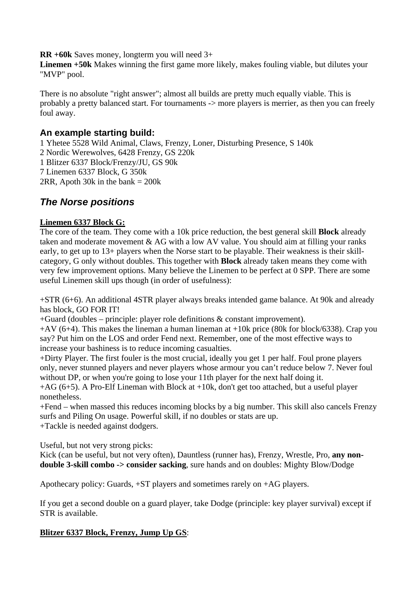**RR +60k** Saves money, longterm you will need 3+

**Linemen +50k** Makes winning the first game more likely, makes fouling viable, but dilutes your "MVP" pool.

There is no absolute "right answer"; almost all builds are pretty much equally viable. This is probably a pretty balanced start. For tournaments -> more players is merrier, as then you can freely foul away.

## **An example starting build:**

1 Yhetee 5528 Wild Animal, Claws, Frenzy, Loner, Disturbing Presence, S 140k 2 Nordic Werewolves, 6428 Frenzy, GS 220k 1 Blitzer 6337 Block/Frenzy/JU, GS 90k 7 Linemen 6337 Block, G 350k 2RR, Apoth 30k in the bank  $= 200k$ 

## *The Norse positions*

## **Linemen 6337 Block G:**

The core of the team. They come with a 10k price reduction, the best general skill **Block** already taken and moderate movement & AG with a low AV value. You should aim at filling your ranks early, to get up to 13+ players when the Norse start to be playable. Their weakness is their skillcategory, G only without doubles. This together with **Block** already taken means they come with very few improvement options. Many believe the Linemen to be perfect at 0 SPP. There are some useful Linemen skill ups though (in order of usefulness):

+STR (6+6). An additional 4STR player always breaks intended game balance. At 90k and already has block, GO FOR IT!

+Guard (doubles – principle: player role definitions & constant improvement).

 $+AV (6+4)$ . This makes the lineman a human lineman at  $+10k$  price (80k for block/6338). Crap you say? Put him on the LOS and order Fend next. Remember, one of the most effective ways to increase your bashiness is to reduce incoming casualties.

+Dirty Player. The first fouler is the most crucial, ideally you get 1 per half. Foul prone players only, never stunned players and never players whose armour you can't reduce below 7. Never foul without DP, or when you're going to lose your 11th player for the next half doing it.

 $+AG$  (6+5). A Pro-Elf Lineman with Block at  $+10k$ , don't get too attached, but a useful player nonetheless.

+Fend – when massed this reduces incoming blocks by a big number. This skill also cancels Frenzy surfs and Piling On usage. Powerful skill, if no doubles or stats are up. +Tackle is needed against dodgers.

Useful, but not very strong picks:

Kick (can be useful, but not very often), Dauntless (runner has), Frenzy, Wrestle, Pro, **any nondouble 3-skill combo -> consider sacking**, sure hands and on doubles: Mighty Blow/Dodge

Apothecary policy: Guards, +ST players and sometimes rarely on +AG players.

If you get a second double on a guard player, take Dodge (principle: key player survival) except if STR is available.

## **Blitzer 6337 Block, Frenzy, Jump Up GS**: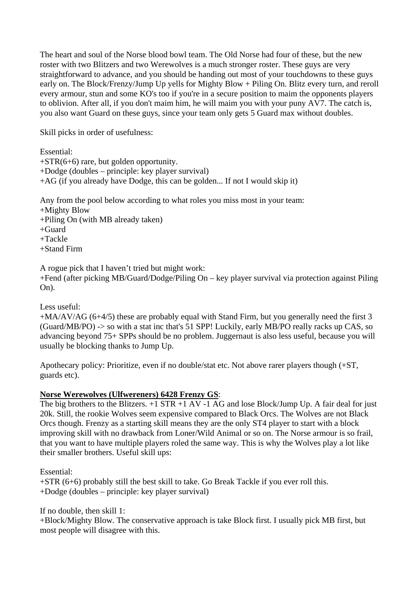The heart and soul of the Norse blood bowl team. The Old Norse had four of these, but the new roster with two Blitzers and two Werewolves is a much stronger roster. These guys are very straightforward to advance, and you should be handing out most of your touchdowns to these guys early on. The Block/Frenzy/Jump Up yells for Mighty Blow + Piling On. Blitz every turn, and reroll every armour, stun and some KO's too if you're in a secure position to maim the opponents players to oblivion. After all, if you don't maim him, he will maim you with your puny AV7. The catch is, you also want Guard on these guys, since your team only gets 5 Guard max without doubles.

Skill picks in order of usefulness:

Essential:

- +STR(6+6) rare, but golden opportunity.
- +Dodge (doubles principle: key player survival)
- +AG (if you already have Dodge, this can be golden... If not I would skip it)

Any from the pool below according to what roles you miss most in your team:

- +Mighty Blow
- +Piling On (with MB already taken)
- $+G$ uard

+Tackle

+Stand Firm

A rogue pick that I haven't tried but might work:

+Fend (after picking MB/Guard/Dodge/Piling On – key player survival via protection against Piling On).

#### Less useful:

+MA/AV/AG (6+4/5) these are probably equal with Stand Firm, but you generally need the first 3 (Guard/MB/PO) -> so with a stat inc that's 51 SPP! Luckily, early MB/PO really racks up CAS, so advancing beyond 75+ SPPs should be no problem. Juggernaut is also less useful, because you will usually be blocking thanks to Jump Up.

Apothecary policy: Prioritize, even if no double/stat etc. Not above rarer players though (+ST, guards etc).

## **Norse Werewolves (Ulfwereners) 6428 Frenzy GS**:

The big brothers to the Blitzers.  $+1$  STR  $+1$  AV  $-1$  AG and lose Block/Jump Up. A fair deal for just 20k. Still, the rookie Wolves seem expensive compared to Black Orcs. The Wolves are not Black Orcs though. Frenzy as a starting skill means they are the only ST4 player to start with a block improving skill with no drawback from Loner/Wild Animal or so on. The Norse armour is so frail, that you want to have multiple players roled the same way. This is why the Wolves play a lot like their smaller brothers. Useful skill ups:

Essential:

+STR (6+6) probably still the best skill to take. Go Break Tackle if you ever roll this. +Dodge (doubles – principle: key player survival)

If no double, then skill 1:

+Block/Mighty Blow. The conservative approach is take Block first. I usually pick MB first, but most people will disagree with this.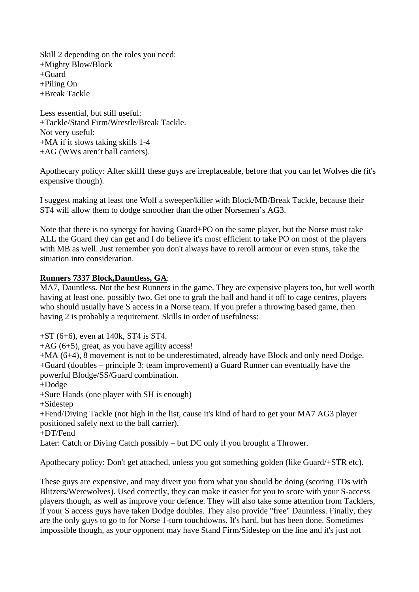Skill 2 depending on the roles you need: +Mighty Blow/Block +Guard +Piling On +Break Tackle

Less essential, but still useful: +Tackle/Stand Firm/Wrestle/Break Tackle. Not very useful: +MA if it slows taking skills 1-4 +AG (WWs aren't ball carriers).

Apothecary policy: After skill1 these guys are irreplaceable, before that you can let Wolves die (it's expensive though).

I suggest making at least one Wolf a sweeper/killer with Block/MB/Break Tackle, because their ST4 will allow them to dodge smoother than the other Norsemen's AG3.

Note that there is no synergy for having Guard+PO on the same player, but the Norse must take ALL the Guard they can get and I do believe it's most efficient to take PO on most of the players with MB as well. Just remember you don't always have to reroll armour or even stuns, take the situation into consideration.

#### **Runners 7337 Block,Dauntless, GA**:

MA7, Dauntless. Not the best Runners in the game. They are expensive players too, but well worth having at least one, possibly two. Get one to grab the ball and hand it off to cage centres, players who should usually have S access in a Norse team. If you prefer a throwing based game, then having 2 is probably a requirement. Skills in order of usefulness:

 $+ST(6+6)$ , even at 140k, ST4 is ST4.

+AG (6+5), great, as you have agility access!

+MA (6+4), 8 movement is not to be underestimated, already have Block and only need Dodge. +Guard (doubles – principle 3: team improvement) a Guard Runner can eventually have the powerful Blodge/SS/Guard combination.

- +Dodge
- +Sure Hands (one player with SH is enough)

+Sidestep

+Fend/Diving Tackle (not high in the list, cause it's kind of hard to get your MA7 AG3 player positioned safely next to the ball carrier).

+DT/Fend

Later: Catch or Diving Catch possibly – but DC only if you brought a Thrower.

Apothecary policy: Don't get attached, unless you got something golden (like Guard/+STR etc).

These guys are expensive, and may divert you from what you should be doing (scoring TDs with Blitzers/Werewolves). Used correctly, they can make it easier for you to score with your S-access players though, as well as improve your defence. They will also take some attention from Tacklers, if your S access guys have taken Dodge doubles. They also provide "free" Dauntless. Finally, they are the only guys to go to for Norse 1-turn touchdowns. It's hard, but has been done. Sometimes impossible though, as your opponent may have Stand Firm/Sidestep on the line and it's just not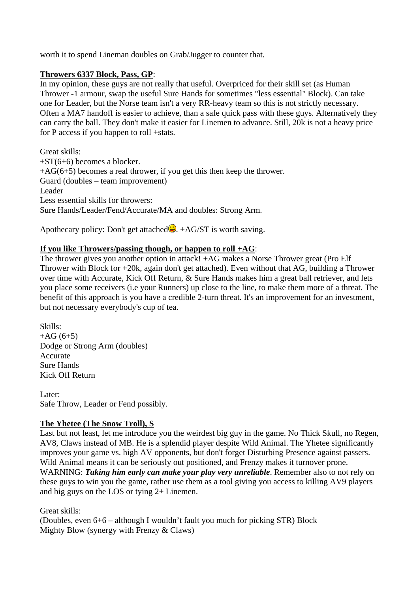worth it to spend Lineman doubles on Grab/Jugger to counter that.

#### **Throwers 6337 Block, Pass, GP**:

In my opinion, these guys are not really that useful. Overpriced for their skill set (as Human Thrower -1 armour, swap the useful Sure Hands for sometimes "less essential" Block). Can take one for Leader, but the Norse team isn't a very RR-heavy team so this is not strictly necessary. Often a MA7 handoff is easier to achieve, than a safe quick pass with these guys. Alternatively they can carry the ball. They don't make it easier for Linemen to advance. Still, 20k is not a heavy price for P access if you happen to roll +stats.

Great skills: +ST(6+6) becomes a blocker.  $+AG(6+5)$  becomes a real thrower, if you get this then keep the thrower. Guard (doubles – team improvement) Leader Less essential skills for throwers: Sure Hands/Leader/Fend/Accurate/MA and doubles: Strong Arm.

Apothecary policy: Don't get attached  $\ddot{Q}$ . +AG/ST is worth saving.

#### **If you like Throwers/passing though, or happen to roll +AG**:

The thrower gives you another option in attack! +AG makes a Norse Thrower great (Pro Elf Thrower with Block for +20k, again don't get attached). Even without that AG, building a Thrower over time with Accurate, Kick Off Return, & Sure Hands makes him a great ball retriever, and lets you place some receivers (i.e your Runners) up close to the line, to make them more of a threat. The benefit of this approach is you have a credible 2-turn threat. It's an improvement for an investment, but not necessary everybody's cup of tea.

Skills:  $+AG(6+5)$ Dodge or Strong Arm (doubles) Accurate Sure Hands Kick Off Return

Later: Safe Throw, Leader or Fend possibly.

#### **The Yhetee (The Snow Troll), S**

Last but not least, let me introduce you the weirdest big guy in the game. No Thick Skull, no Regen, AV8, Claws instead of MB. He is a splendid player despite Wild Animal. The Yhetee significantly improves your game vs. high AV opponents, but don't forget Disturbing Presence against passers. Wild Animal means it can be seriously out positioned, and Frenzy makes it turnover prone. WARNING: *Taking him early can make your play very unreliable*. Remember also to not rely on these guys to win you the game, rather use them as a tool giving you access to killing AV9 players and big guys on the LOS or tying 2+ Linemen.

Great skills:

(Doubles, even 6+6 – although I wouldn't fault you much for picking STR) Block Mighty Blow (synergy with Frenzy & Claws)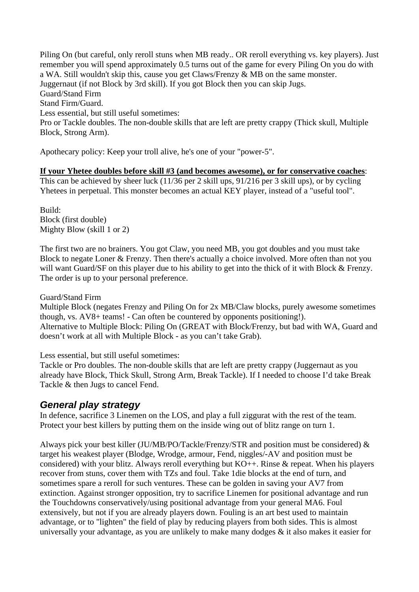Piling On (but careful, only reroll stuns when MB ready.. OR reroll everything vs. key players). Just remember you will spend approximately 0.5 turns out of the game for every Piling On you do with a WA. Still wouldn't skip this, cause you get Claws/Frenzy & MB on the same monster. Juggernaut (if not Block by 3rd skill). If you got Block then you can skip Jugs. Guard/Stand Firm Stand Firm/Guard. Less essential, but still useful sometimes: Pro or Tackle doubles. The non-double skills that are left are pretty crappy (Thick skull, Multiple Block, Strong Arm).

Apothecary policy: Keep your troll alive, he's one of your "power-5".

#### **If your Yhetee doubles before skill #3 (and becomes awesome), or for conservative coaches**:

This can be achieved by sheer luck (11/36 per 2 skill ups, 91/216 per 3 skill ups), or by cycling Yhetees in perpetual. This monster becomes an actual KEY player, instead of a "useful tool".

Build: Block (first double) Mighty Blow (skill 1 or 2)

The first two are no brainers. You got Claw, you need MB, you got doubles and you must take Block to negate Loner & Frenzy. Then there's actually a choice involved. More often than not you will want Guard/SF on this player due to his ability to get into the thick of it with Block & Frenzy. The order is up to your personal preference.

Guard/Stand Firm

Multiple Block (negates Frenzy and Piling On for 2x MB/Claw blocks, purely awesome sometimes though, vs. AV8+ teams! - Can often be countered by opponents positioning!). Alternative to Multiple Block: Piling On (GREAT with Block/Frenzy, but bad with WA, Guard and doesn't work at all with Multiple Block - as you can't take Grab).

Less essential, but still useful sometimes:

Tackle or Pro doubles. The non-double skills that are left are pretty crappy (Juggernaut as you already have Block, Thick Skull, Strong Arm, Break Tackle). If I needed to choose I'd take Break Tackle & then Jugs to cancel Fend.

## *General play strategy*

In defence, sacrifice 3 Linemen on the LOS, and play a full ziggurat with the rest of the team. Protect your best killers by putting them on the inside wing out of blitz range on turn 1.

Always pick your best killer (JU/MB/PO/Tackle/Frenzy/STR and position must be considered) & target his weakest player (Blodge, Wrodge, armour, Fend, niggles/-AV and position must be considered) with your blitz. Always reroll everything but  $KO++$ . Rinse & repeat. When his players recover from stuns, cover them with TZs and foul. Take 1die blocks at the end of turn, and sometimes spare a reroll for such ventures. These can be golden in saving your AV7 from extinction. Against stronger opposition, try to sacrifice Linemen for positional advantage and run the Touchdowns conservatively/using positional advantage from your general MA6. Foul extensively, but not if you are already players down. Fouling is an art best used to maintain advantage, or to "lighten" the field of play by reducing players from both sides. This is almost universally your advantage, as you are unlikely to make many dodges & it also makes it easier for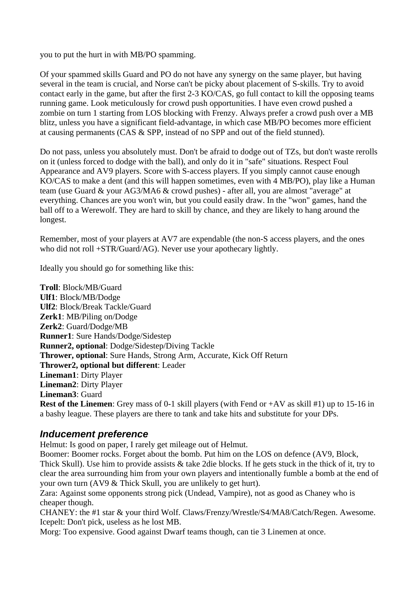you to put the hurt in with MB/PO spamming.

Of your spammed skills Guard and PO do not have any synergy on the same player, but having several in the team is crucial, and Norse can't be picky about placement of S-skills. Try to avoid contact early in the game, but after the first 2-3 KO/CAS, go full contact to kill the opposing teams running game. Look meticulously for crowd push opportunities. I have even crowd pushed a zombie on turn 1 starting from LOS blocking with Frenzy. Always prefer a crowd push over a MB blitz, unless you have a significant field-advantage, in which case MB/PO becomes more efficient at causing permanents (CAS & SPP, instead of no SPP and out of the field stunned).

Do not pass, unless you absolutely must. Don't be afraid to dodge out of TZs, but don't waste rerolls on it (unless forced to dodge with the ball), and only do it in "safe" situations. Respect Foul Appearance and AV9 players. Score with S-access players. If you simply cannot cause enough KO/CAS to make a dent (and this will happen sometimes, even with 4 MB/PO), play like a Human team (use Guard & your AG3/MA6 & crowd pushes) - after all, you are almost "average" at everything. Chances are you won't win, but you could easily draw. In the "won" games, hand the ball off to a Werewolf. They are hard to skill by chance, and they are likely to hang around the longest.

Remember, most of your players at AV7 are expendable (the non-S access players, and the ones who did not roll +STR/Guard/AG). Never use your apothecary lightly.

Ideally you should go for something like this:

**Troll**: Block/MB/Guard **Ulf1**: Block/MB/Dodge **Ulf2**: Block/Break Tackle/Guard **Zerk1**: MB/Piling on/Dodge **Zerk2**: Guard/Dodge/MB **Runner1**: Sure Hands/Dodge/Sidestep **Runner2, optional**: Dodge/Sidestep/Diving Tackle **Thrower, optional**: Sure Hands, Strong Arm, Accurate, Kick Off Return **Thrower2, optional but different**: Leader **Lineman1**: Dirty Player **Lineman2**: Dirty Player **Lineman3**: Guard **Rest of the Linemen**: Grey mass of 0-1 skill players (with Fend or +AV as skill #1) up to 15-16 in

## *Inducement preference*

Helmut: Is good on paper, I rarely get mileage out of Helmut.

Boomer: Boomer rocks. Forget about the bomb. Put him on the LOS on defence (AV9, Block, Thick Skull). Use him to provide assists & take 2die blocks. If he gets stuck in the thick of it, try to clear the area surrounding him from your own players and intentionally fumble a bomb at the end of your own turn (AV9 & Thick Skull, you are unlikely to get hurt).

Zara: Against some opponents strong pick (Undead, Vampire), not as good as Chaney who is cheaper though.

a bashy league. These players are there to tank and take hits and substitute for your DPs.

CHANEY: the #1 star & your third Wolf. Claws/Frenzy/Wrestle/S4/MA8/Catch/Regen. Awesome. Icepelt: Don't pick, useless as he lost MB.

Morg: Too expensive. Good against Dwarf teams though, can tie 3 Linemen at once.